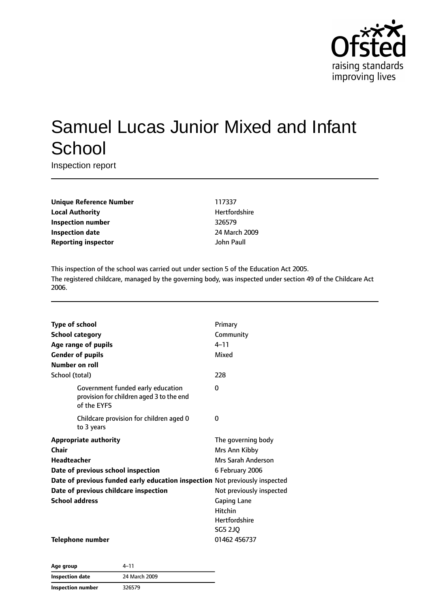

# Samuel Lucas Junior Mixed and Infant **School**

Inspection report

| <b>Unique Reference Number</b> |
|--------------------------------|
| <b>Local Authority</b>         |
| <b>Inspection number</b>       |
| <b>Inspection date</b>         |
| <b>Reporting inspector</b>     |

**Unique Reference Number** 117337 **Hertfordshire Inspection number** 326579 **Inspection date** 24 March 2009 **John Paull** 

This inspection of the school was carried out under section 5 of the Education Act 2005. The registered childcare, managed by the governing body, was inspected under section 49 of the Childcare Act 2006.

| <b>Type of school</b>                                                                        | Primary                  |
|----------------------------------------------------------------------------------------------|--------------------------|
| <b>School category</b>                                                                       | Community                |
| Age range of pupils                                                                          | $4 - 11$                 |
| <b>Gender of pupils</b>                                                                      | Mixed                    |
| Number on roll                                                                               |                          |
| School (total)                                                                               | 228                      |
| Government funded early education<br>provision for children aged 3 to the end<br>of the EYFS | 0                        |
| Childcare provision for children aged 0<br>to 3 years                                        | 0                        |
| <b>Appropriate authority</b>                                                                 | The governing body       |
| Chair                                                                                        | Mrs Ann Kibby            |
| <b>Headteacher</b>                                                                           | Mrs Sarah Anderson       |
| Date of previous school inspection                                                           | 6 February 2006          |
| Date of previous funded early education inspection Not previously inspected                  |                          |
| Date of previous childcare inspection                                                        | Not previously inspected |
| <b>School address</b>                                                                        | <b>Gaping Lane</b>       |
|                                                                                              | Hitchin                  |
|                                                                                              | <b>Hertfordshire</b>     |
|                                                                                              | <b>SG5 2JQ</b>           |
| <b>Telephone number</b>                                                                      | 01462 456737             |

| Age group                | 4–11          |
|--------------------------|---------------|
| Inspection date          | 24 March 2009 |
| <b>Inspection number</b> | 326579        |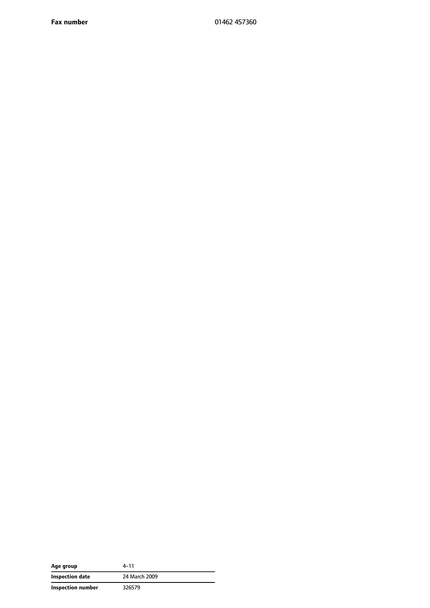**Fax number** 01462 457360

| Age group         | 4–11          |
|-------------------|---------------|
| Inspection date   | 24 March 2009 |
| Inspection number | 326579        |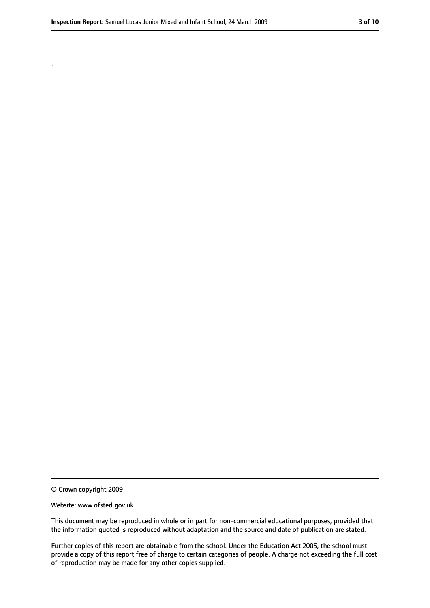.

<sup>©</sup> Crown copyright 2009

Website: www.ofsted.gov.uk

This document may be reproduced in whole or in part for non-commercial educational purposes, provided that the information quoted is reproduced without adaptation and the source and date of publication are stated.

Further copies of this report are obtainable from the school. Under the Education Act 2005, the school must provide a copy of this report free of charge to certain categories of people. A charge not exceeding the full cost of reproduction may be made for any other copies supplied.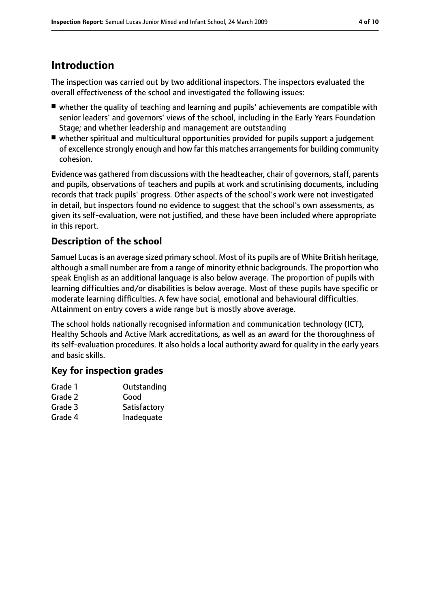## **Introduction**

The inspection was carried out by two additional inspectors. The inspectors evaluated the overall effectiveness of the school and investigated the following issues:

- whether the quality of teaching and learning and pupils' achievements are compatible with senior leaders' and governors' views of the school, including in the Early Years Foundation Stage; and whether leadership and management are outstanding
- whether spiritual and multicultural opportunities provided for pupils support a judgement of excellence strongly enough and how far this matches arrangements for building community cohesion.

Evidence was gathered from discussions with the headteacher, chair of governors, staff, parents and pupils, observations of teachers and pupils at work and scrutinising documents, including records that track pupils' progress. Other aspects of the school's work were not investigated in detail, but inspectors found no evidence to suggest that the school's own assessments, as given its self-evaluation, were not justified, and these have been included where appropriate in this report.

#### **Description of the school**

Samuel Lucas is an average sized primary school. Most of its pupils are of White British heritage, although a small number are from a range of minority ethnic backgrounds. The proportion who speak English as an additional language is also below average. The proportion of pupils with learning difficulties and/or disabilities is below average. Most of these pupils have specific or moderate learning difficulties. A few have social, emotional and behavioural difficulties. Attainment on entry covers a wide range but is mostly above average.

The school holds nationally recognised information and communication technology (ICT), Healthy Schools and Active Mark accreditations, as well as an award for the thoroughness of its self-evaluation procedures. It also holds a local authority award for quality in the early years and basic skills.

#### **Key for inspection grades**

| Grade 1 | Outstanding  |
|---------|--------------|
| Grade 2 | Good         |
| Grade 3 | Satisfactory |
| Grade 4 | Inadequate   |
|         |              |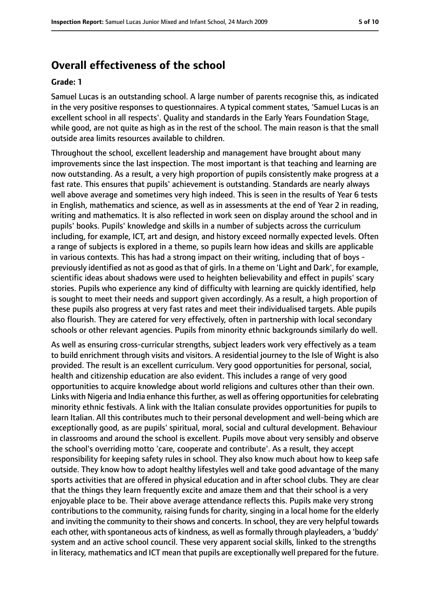### **Overall effectiveness of the school**

#### **Grade: 1**

Samuel Lucas is an outstanding school. A large number of parents recognise this, as indicated in the very positive responses to questionnaires. A typical comment states, 'Samuel Lucas is an excellent school in all respects'. Quality and standards in the Early Years Foundation Stage, while good, are not quite as high as in the rest of the school. The main reason is that the small outside area limits resources available to children.

Throughout the school, excellent leadership and management have brought about many improvements since the last inspection. The most important is that teaching and learning are now outstanding. As a result, a very high proportion of pupils consistently make progress at a fast rate. This ensures that pupils' achievement is outstanding. Standards are nearly always well above average and sometimes very high indeed. This is seen in the results of Year 6 tests in English, mathematics and science, as well as in assessments at the end of Year 2 in reading, writing and mathematics. It is also reflected in work seen on display around the school and in pupils' books. Pupils' knowledge and skills in a number of subjects across the curriculum including, for example, ICT, art and design, and history exceed normally expected levels. Often a range of subjects is explored in a theme, so pupils learn how ideas and skills are applicable in various contexts. This has had a strong impact on their writing, including that of boys previously identified as not as good asthat of girls. In a theme on 'Light and Dark', for example, scientific ideas about shadows were used to heighten believability and effect in pupils' scary stories. Pupils who experience any kind of difficulty with learning are quickly identified, help is sought to meet their needs and support given accordingly. As a result, a high proportion of these pupils also progress at very fast rates and meet their individualised targets. Able pupils also flourish. They are catered for very effectively, often in partnership with local secondary schools or other relevant agencies. Pupils from minority ethnic backgrounds similarly do well.

As well as ensuring cross-curricular strengths, subject leaders work very effectively as a team to build enrichment through visits and visitors. A residential journey to the Isle of Wight is also provided. The result is an excellent curriculum. Very good opportunities for personal, social, health and citizenship education are also evident. This includes a range of very good opportunities to acquire knowledge about world religions and cultures other than their own. Links with Nigeria and India enhance this further, as well as offering opportunities for celebrating minority ethnic festivals. A link with the Italian consulate provides opportunities for pupils to learn Italian. All this contributes much to their personal development and well-being which are exceptionally good, as are pupils' spiritual, moral, social and cultural development. Behaviour in classrooms and around the school is excellent. Pupils move about very sensibly and observe the school's overriding motto 'care, cooperate and contribute'. As a result, they accept responsibility for keeping safety rules in school. They also know much about how to keep safe outside. They know how to adopt healthy lifestyles well and take good advantage of the many sports activities that are offered in physical education and in after school clubs. They are clear that the things they learn frequently excite and amaze them and that their school is a very enjoyable place to be. Their above average attendance reflects this. Pupils make very strong contributions to the community, raising funds for charity, singing in a local home for the elderly and inviting the community to their shows and concerts. In school, they are very helpful towards each other, with spontaneous acts of kindness, as well as formally through playleaders, a 'buddy' system and an active school council. These very apparent social skills, linked to the strengths in literacy, mathematics and ICT mean that pupils are exceptionally well prepared for the future.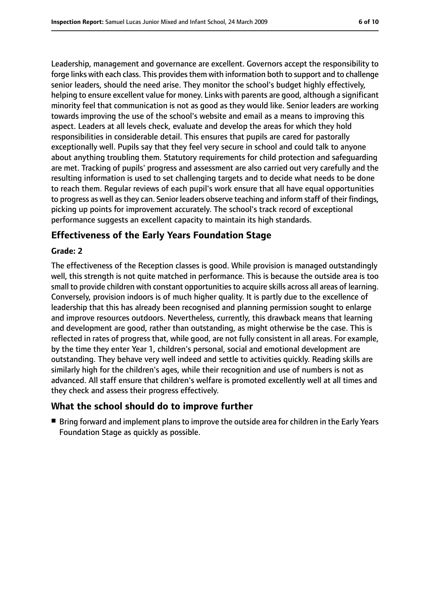Leadership, management and governance are excellent. Governors accept the responsibility to forge links with each class. This provides them with information both to support and to challenge senior leaders, should the need arise. They monitor the school's budget highly effectively, helping to ensure excellent value for money. Links with parents are good, although a significant minority feel that communication is not as good as they would like. Senior leaders are working towards improving the use of the school's website and email as a means to improving this aspect. Leaders at all levels check, evaluate and develop the areas for which they hold responsibilities in considerable detail. This ensures that pupils are cared for pastorally exceptionally well. Pupils say that they feel very secure in school and could talk to anyone about anything troubling them. Statutory requirements for child protection and safeguarding are met. Tracking of pupils' progress and assessment are also carried out very carefully and the resulting information is used to set challenging targets and to decide what needs to be done to reach them. Regular reviews of each pupil's work ensure that all have equal opportunities to progress as well asthey can. Senior leaders observe teaching and inform staff of their findings, picking up points for improvement accurately. The school's track record of exceptional performance suggests an excellent capacity to maintain its high standards.

#### **Effectiveness of the Early Years Foundation Stage**

#### **Grade: 2**

The effectiveness of the Reception classes is good. While provision is managed outstandingly well, this strength is not quite matched in performance. This is because the outside area is too small to provide children with constant opportunities to acquire skills across all areas of learning. Conversely, provision indoors is of much higher quality. It is partly due to the excellence of leadership that this has already been recognised and planning permission sought to enlarge and improve resources outdoors. Nevertheless, currently, this drawback means that learning and development are good, rather than outstanding, as might otherwise be the case. This is reflected in rates of progress that, while good, are not fully consistent in all areas. For example, by the time they enter Year 1, children's personal, social and emotional development are outstanding. They behave very well indeed and settle to activities quickly. Reading skills are similarly high for the children's ages, while their recognition and use of numbers is not as advanced. All staff ensure that children's welfare is promoted excellently well at all times and they check and assess their progress effectively.

#### **What the school should do to improve further**

■ Bring forward and implement plans to improve the outside area for children in the Early Years Foundation Stage as quickly as possible.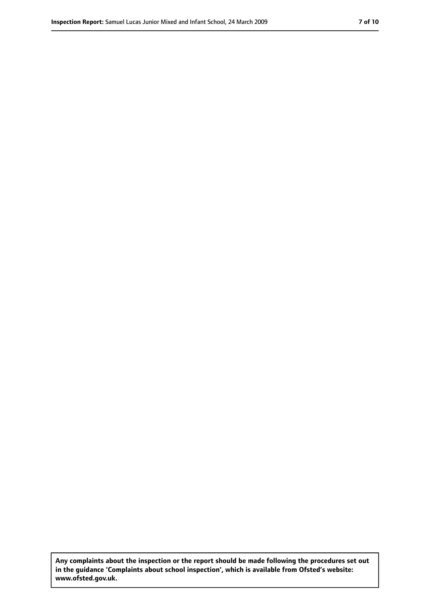**Any complaints about the inspection or the report should be made following the procedures set out in the guidance 'Complaints about school inspection', which is available from Ofsted's website: www.ofsted.gov.uk.**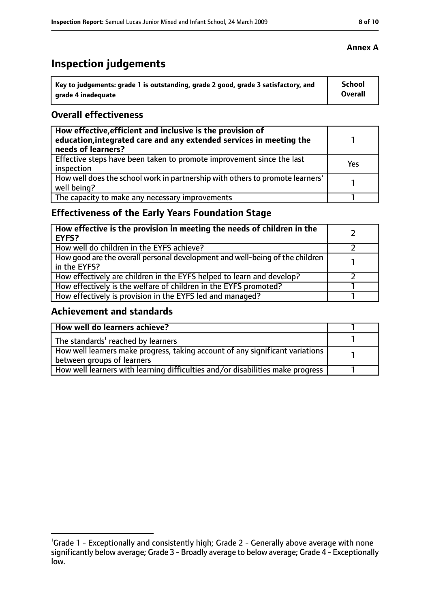# **Inspection judgements**

| Key to judgements: grade 1 is outstanding, grade 2 good, grade 3 satisfactory, and | <b>School</b> |
|------------------------------------------------------------------------------------|---------------|
| arade 4 inadequate                                                                 | Overall       |

#### **Overall effectiveness**

| How effective, efficient and inclusive is the provision of<br>education, integrated care and any extended services in meeting the<br>needs of learners? |     |
|---------------------------------------------------------------------------------------------------------------------------------------------------------|-----|
| Effective steps have been taken to promote improvement since the last<br>inspection                                                                     | Yes |
| How well does the school work in partnership with others to promote learners'<br>well being?                                                            |     |
| The capacity to make any necessary improvements                                                                                                         |     |

### **Effectiveness of the Early Years Foundation Stage**

| How effective is the provision in meeting the needs of children in the<br><b>EYFS?</b>       |  |
|----------------------------------------------------------------------------------------------|--|
| How well do children in the EYFS achieve?                                                    |  |
| How good are the overall personal development and well-being of the children<br>in the EYFS? |  |
| How effectively are children in the EYFS helped to learn and develop?                        |  |
| How effectively is the welfare of children in the EYFS promoted?                             |  |
| How effectively is provision in the EYFS led and managed?                                    |  |

#### **Achievement and standards**

| How well do learners achieve?                                                               |  |
|---------------------------------------------------------------------------------------------|--|
| $\vert$ The standards <sup>1</sup> reached by learners                                      |  |
| $\mid$ How well learners make progress, taking account of any significant variations $\mid$ |  |
| between groups of learners                                                                  |  |
| How well learners with learning difficulties and/or disabilities make progress              |  |

<sup>&</sup>lt;sup>1</sup>Grade 1 - Exceptionally and consistently high; Grade 2 - Generally above average with none significantly below average; Grade 3 - Broadly average to below average; Grade 4 - Exceptionally low.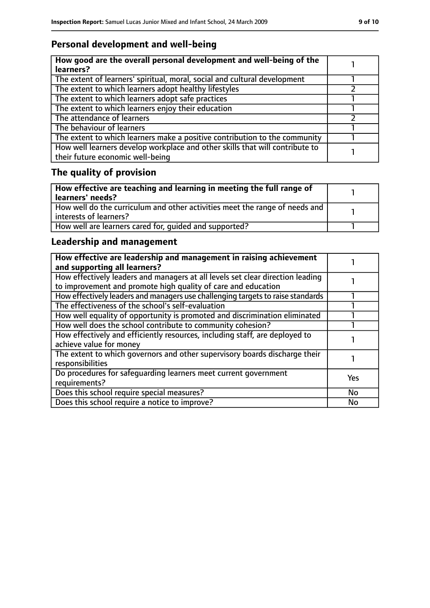### **Personal development and well-being**

| How good are the overall personal development and well-being of the<br>learners?                                 |  |
|------------------------------------------------------------------------------------------------------------------|--|
| The extent of learners' spiritual, moral, social and cultural development                                        |  |
| The extent to which learners adopt healthy lifestyles                                                            |  |
| The extent to which learners adopt safe practices                                                                |  |
| The extent to which learners enjoy their education                                                               |  |
| The attendance of learners                                                                                       |  |
| The behaviour of learners                                                                                        |  |
| The extent to which learners make a positive contribution to the community                                       |  |
| How well learners develop workplace and other skills that will contribute to<br>their future economic well-being |  |

# **The quality of provision**

| How effective are teaching and learning in meeting the full range of<br>learners' needs?              |  |
|-------------------------------------------------------------------------------------------------------|--|
| How well do the curriculum and other activities meet the range of needs and<br>interests of learners? |  |
| How well are learners cared for, quided and supported?                                                |  |

### **Leadership and management**

| How effective are leadership and management in raising achievement<br>and supporting all learners?                                              |            |
|-------------------------------------------------------------------------------------------------------------------------------------------------|------------|
| How effectively leaders and managers at all levels set clear direction leading<br>to improvement and promote high quality of care and education |            |
| How effectively leaders and managers use challenging targets to raise standards                                                                 |            |
| The effectiveness of the school's self-evaluation                                                                                               |            |
| How well equality of opportunity is promoted and discrimination eliminated                                                                      |            |
| How well does the school contribute to community cohesion?                                                                                      |            |
| How effectively and efficiently resources, including staff, are deployed to<br>achieve value for money                                          |            |
| The extent to which governors and other supervisory boards discharge their<br>responsibilities                                                  |            |
| Do procedures for safequarding learners meet current government<br>requirements?                                                                | <b>Yes</b> |
| Does this school require special measures?                                                                                                      | <b>No</b>  |
| Does this school require a notice to improve?                                                                                                   | No         |